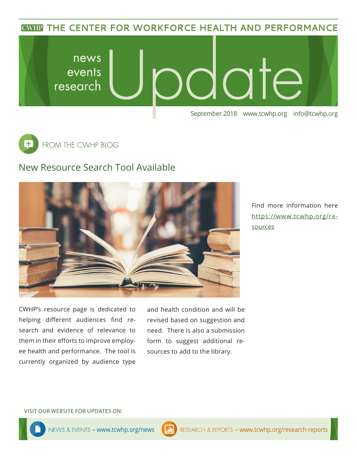**CWHP THE CENTER FOR WORKFORCE HEALTH AND PERFORMANCE** 





## New Resource Search Tool Available



Find more information here [https://www.tcwhp.org/re](https://www.tcwhp.org/resources)[sources](https://www.tcwhp.org/resources)

CWHP's resource page is dedicated to helping different audiences find research and evidence of relevance to them in their efforts to improve employee health and performance. The tool is currently organized by audience type

and health condition and will be revised based on suggestion and need. There is also a submission form to suggest additional resources to add to the library.

VISIT OUR WEBSITE FOR UPDATES ON: